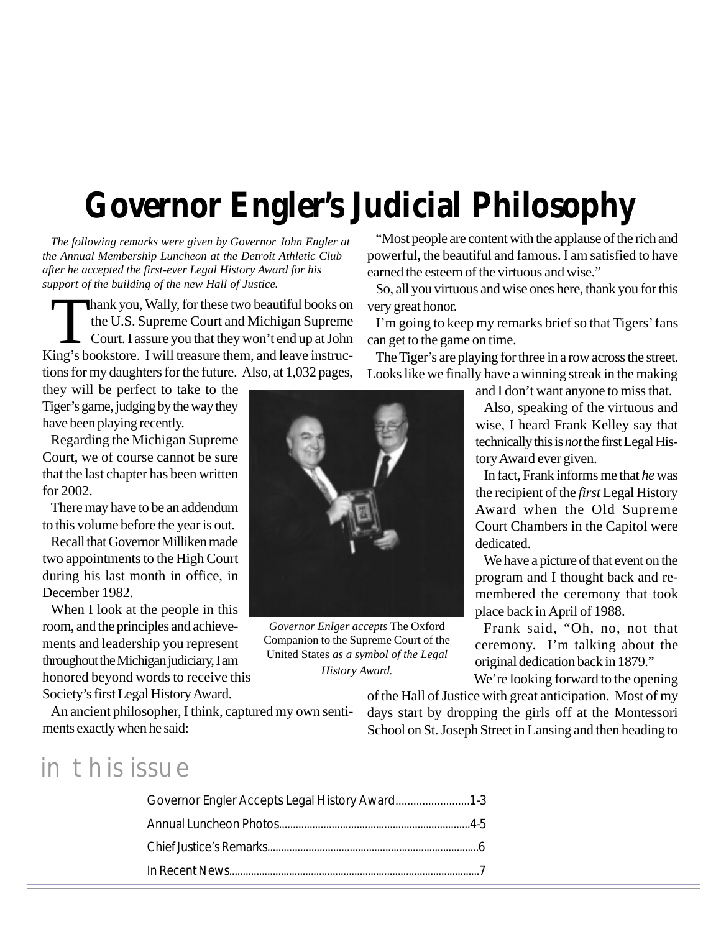# **Governor Engler's Judicial Philosophy**

*The following remarks were given by Governor John Engler at the Annual Membership Luncheon at the Detroit Athletic Club after he accepted the first-ever Legal History Award for his support of the building of the new Hall of Justice.*

Thank you, Wally, for these two beautiful books on<br>the U.S. Supreme Court and Michigan Supreme<br>Court. I assure you that they won't end up at John<br>ing's bookstore. I will treasure them, and leave instructhe U.S. Supreme Court and Michigan Supreme Court. I assure you that they won't end up at John King's bookstore. I will treasure them, and leave instructions for my daughters for the future. Also, at 1,032 pages,

they will be perfect to take to the Tiger's game, judging by the way they have been playing recently.

Regarding the Michigan Supreme Court, we of course cannot be sure that the last chapter has been written for 2002.

There may have to be an addendum to this volume before the year is out.

Recall that Governor Milliken made two appointments to the High Court during his last month in office, in December 1982.

When I look at the people in this room, and the principles and achievements and leadership you represent throughout the Michigan judiciary, I am honored beyond words to receive this Society's first Legal History Award.

*Governor Enlger accepts* The Oxford Companion to the Supreme Court of the United States *as a symbol of the Legal History Award.*

"Most people are content with the applause of the rich and powerful, the beautiful and famous. I am satisfied to have earned the esteem of the virtuous and wise."

So, all you virtuous and wise ones here, thank you for this very great honor.

I'm going to keep my remarks brief so that Tigers' fans can get to the game on time.

The Tiger's are playing for three in a row across the street. Looks like we finally have a winning streak in the making

and I don't want anyone to miss that.

Also, speaking of the virtuous and wise, I heard Frank Kelley say that technically this is *not* the first Legal History Award ever given.

In fact, Frank informs me that *he* was the recipient of the *first* Legal History Award when the Old Supreme Court Chambers in the Capitol were dedicated.

We have a picture of that event on the program and I thought back and remembered the ceremony that took place back in April of 1988.

Frank said, "Oh, no, not that ceremony. I'm talking about the original dedication back in 1879."

We're looking forward to the opening

of the Hall of Justice with great anticipation. Most of my days start by dropping the girls off at the Montessori School on St. Joseph Street in Lansing and then heading to

An ancient philosopher, I think, captured my own sentiments exactly when he said:

in this issue

| Governor Engler Accepts Legal History Award 1-3 |  |
|-------------------------------------------------|--|
|                                                 |  |
|                                                 |  |
|                                                 |  |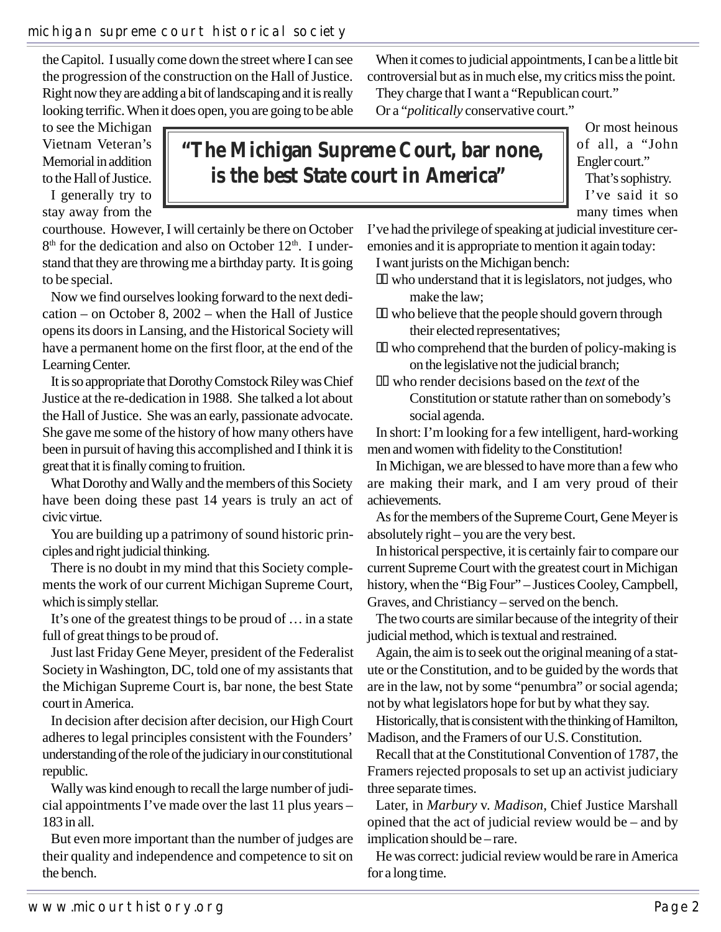ciples and right judicial thinking.

There is no doubt in my mind that this Society complements the work of our current Michigan Supreme Court, which is simply stellar.

It's one of the greatest things to be proud of … in a state full of great things to be proud of.

Just last Friday Gene Meyer, president of the Federalist Society in Washington, DC, told one of my assistants that the Michigan Supreme Court is, bar none, the best State court in America.

In decision after decision after decision, our High Court adheres to legal principles consistent with the Founders' understanding of the role of the judiciary in our constitutional republic.

Wally was kind enough to recall the large number of judicial appointments I've made over the last 11 plus years – 183 in all.

But even more important than the number of judges are their quality and independence and competence to sit on the bench.

When it comes to judicial appointments, I can be a little bit controversial but as in much else, my critics miss the point.

who understand that it is legislators, not judges, who

who believe that the people should govern through

who comprehend that the burden of policy-making is

Constitution or statute rather than on somebody's

In short: I'm looking for a few intelligent, hard-working

on the legislative not the judicial branch; who render decisions based on the *text* of the

They charge that I want a "Republican court." Or a "*politically* conservative court."

I want jurists on the Michigan bench:

their elected representatives;

make the law;

social agenda.

**"The Michigan Supreme Court, bar none, is the best State court in America"**

Or most heinous of all, a "John Engler court." That's sophistry. I've said it so many times when

courthouse. However, I will certainly be there on October 8<sup>th</sup> for the dedication and also on October 12<sup>th</sup>. I understand that they are throwing me a birthday party. It is going to be special. I've had the privilege of speaking at judicial investiture ceremonies and it is appropriate to mention it again today:

the Capitol. I usually come down the street where I can see the progression of the construction on the Hall of Justice. Right now they are adding a bit of landscaping and it is really looking terrific. When it does open, you are going to be able

Now we find ourselves looking forward to the next dedication – on October 8, 2002 – when the Hall of Justice opens its doors in Lansing, and the Historical Society will have a permanent home on the first floor, at the end of the Learning Center.

It is so appropriate that Dorothy Comstock Riley was Chief Justice at the re-dedication in 1988. She talked a lot about the Hall of Justice. She was an early, passionate advocate. She gave me some of the history of how many others have been in pursuit of having this accomplished and I think it is great that it is finally coming to fruition.

What Dorothy and Wally and the members of this Society have been doing these past 14 years is truly an act of civic virtue.

You are building up a patrimony of sound historic prin-

men and women with fidelity to the Constitution! In Michigan, we are blessed to have more than a few who are making their mark, and I am very proud of their

> achievements. As for the members of the Supreme Court, Gene Meyer is absolutely right – you are the very best. In historical perspective, it is certainly fair to compare our

current Supreme Court with the greatest court in Michigan history, when the "Big Four" – Justices Cooley, Campbell, Graves, and Christiancy – served on the bench.

The two courts are similar because of the integrity of their judicial method, which is textual and restrained.

Again, the aim is to seek out the original meaning of a statute or the Constitution, and to be guided by the words that are in the law, not by some "penumbra" or social agenda; not by what legislators hope for but by what they say.

Historically, that is consistent with the thinking of Hamilton, Madison, and the Framers of our U.S. Constitution.

Recall that at the Constitutional Convention of 1787, the Framers rejected proposals to set up an activist judiciary three separate times.

Later, in *Marbury* v. *Madison*, Chief Justice Marshall opined that the act of judicial review would be – and by implication should be – rare.

He was correct: judicial review would be rare in America for a long time.

michigan supreme court historical society

to see the Michigan Vietnam Veteran's Memorial in addition to the Hall of Justice. I generally try to stay away from the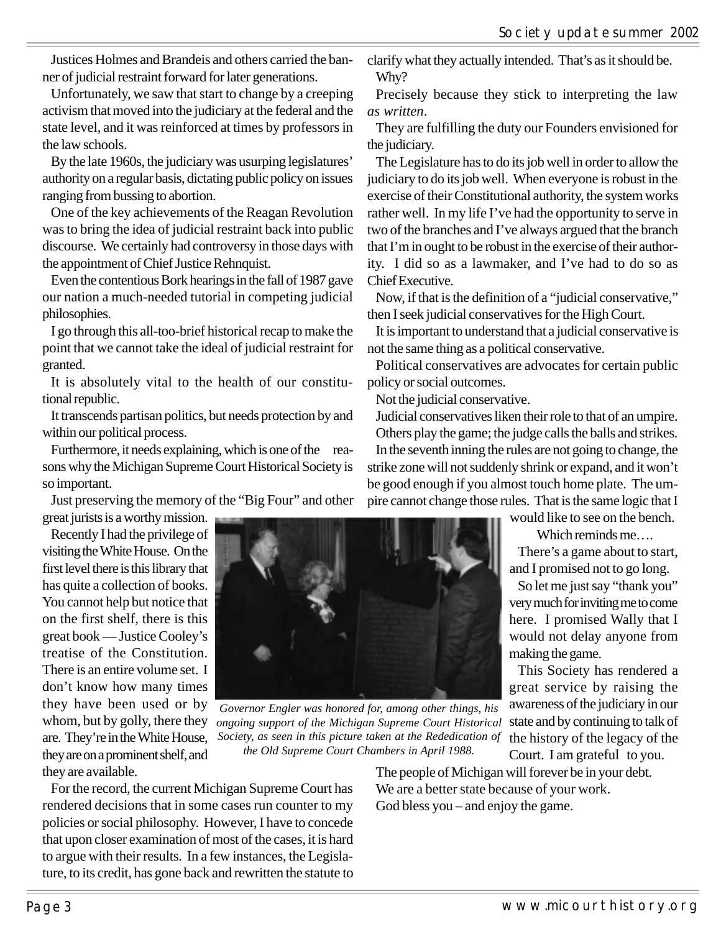Justices Holmes and Brandeis and others carried the banner of judicial restraint forward for later generations.

Unfortunately, we saw that start to change by a creeping activism that moved into the judiciary at the federal and the state level, and it was reinforced at times by professors in the law schools.

By the late 1960s, the judiciary was usurping legislatures' authority on a regular basis, dictating public policy on issues ranging from bussing to abortion.

One of the key achievements of the Reagan Revolution was to bring the idea of judicial restraint back into public discourse. We certainly had controversy in those days with the appointment of Chief Justice Rehnquist.

Even the contentious Bork hearings in the fall of 1987 gave our nation a much-needed tutorial in competing judicial philosophies.

I go through this all-too-brief historical recap to make the point that we cannot take the ideal of judicial restraint for granted.

It is absolutely vital to the health of our constitutional republic.

It transcends partisan politics, but needs protection by and within our political process.

Furthermore, it needs explaining, which is one of the reasons why the Michigan Supreme Court Historical Society is so important.

Just preserving the memory of the "Big Four" and other

great jurists is a worthy mission.

Recently I had the privilege of visiting the White House. On the first level there is this library that has quite a collection of books. You cannot help but notice that on the first shelf, there is this great book — Justice Cooley's treatise of the Constitution. There is an entire volume set. I don't know how many times they have been used or by whom, but by golly, there they are. They're in the White House, they are on a prominent shelf, and they are available.



*Governor Engler was honored for, among other things, his ongoing support of the Michigan Supreme Court Historical Society, as seen in this picture taken at the Rededication of* the history of the legacy of the *the Old Supreme Court Chambers in April 1988.*

For the record, the current Michigan Supreme Court has rendered decisions that in some cases run counter to my policies or social philosophy. However, I have to concede that upon closer examination of most of the cases, it is hard to argue with their results. In a few instances, the Legislature, to its credit, has gone back and rewritten the statute to clarify what they actually intended. That's as it should be. Why?

Precisely because they stick to interpreting the law *as written*.

They are fulfilling the duty our Founders envisioned for the judiciary.

The Legislature has to do its job well in order to allow the judiciary to do its job well. When everyone is robust in the exercise of their Constitutional authority, the system works rather well. In my life I've had the opportunity to serve in two of the branches and I've always argued that the branch that I'm in ought to be robust in the exercise of their authority. I did so as a lawmaker, and I've had to do so as Chief Executive.

Now, if that is the definition of a "judicial conservative," then I seek judicial conservatives for the High Court.

It is important to understand that a judicial conservative is not the same thing as a political conservative.

Political conservatives are advocates for certain public policy or social outcomes.

Not the judicial conservative.

Judicial conservatives liken their role to that of an umpire.

Others play the game; the judge calls the balls and strikes. In the seventh inning the rules are not going to change, the strike zone will not suddenly shrink or expand, and it won't be good enough if you almost touch home plate. The umpire cannot change those rules. That is the same logic that I

would like to see on the bench.

Which reminds me…. There's a game about to start,

and I promised not to go long.

So let me just say "thank you" very much for inviting me to come here. I promised Wally that I would not delay anyone from making the game.

This Society has rendered a great service by raising the awareness of the judiciary in our state and by continuing to talk of Court. I am grateful to you.

The people of Michigan will forever be in your debt. We are a better state because of your work. God bless you – and enjoy the game.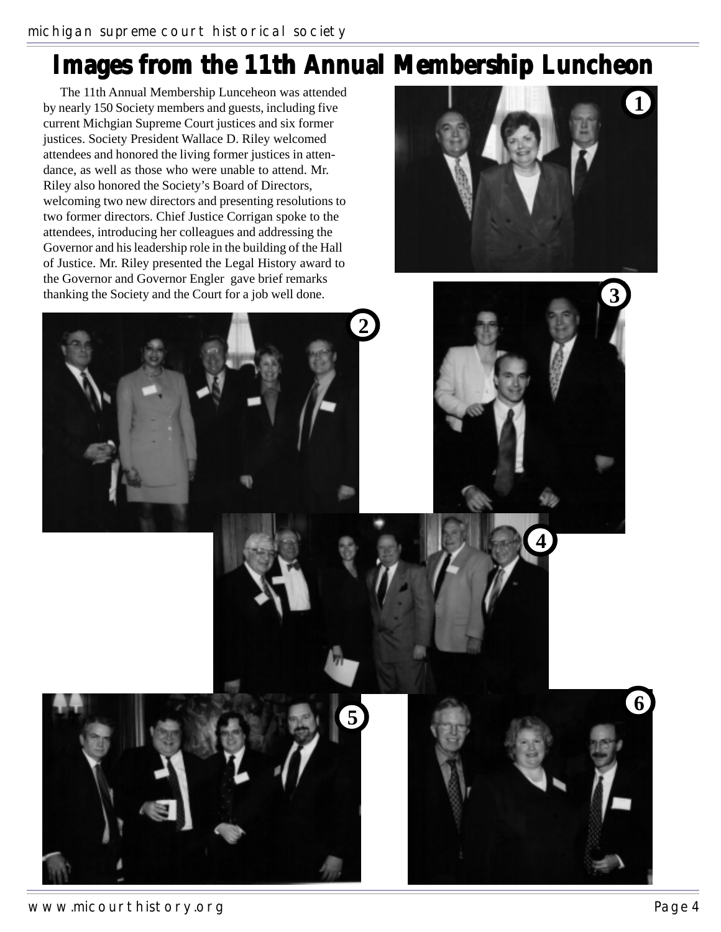## **Images from the 11th Annual Membership Luncheon**

The 11th Annual Membership Lunceheon was attended by nearly 150 Society members and guests, including five current Michgian Supreme Court justices and six former justices. Society President Wallace D. Riley welcomed attendees and honored the living former justices in attendance, as well as those who were unable to attend. Mr. Riley also honored the Society's Board of Directors, welcoming two new directors and presenting resolutions to two former directors. Chief Justice Corrigan spoke to the attendees, introducing her colleagues and addressing the Governor and his leadership role in the building of the Hall of Justice. Mr. Riley presented the Legal History award to the Governor and Governor Engler gave brief remarks thanking the Society and the Court for a job well done.



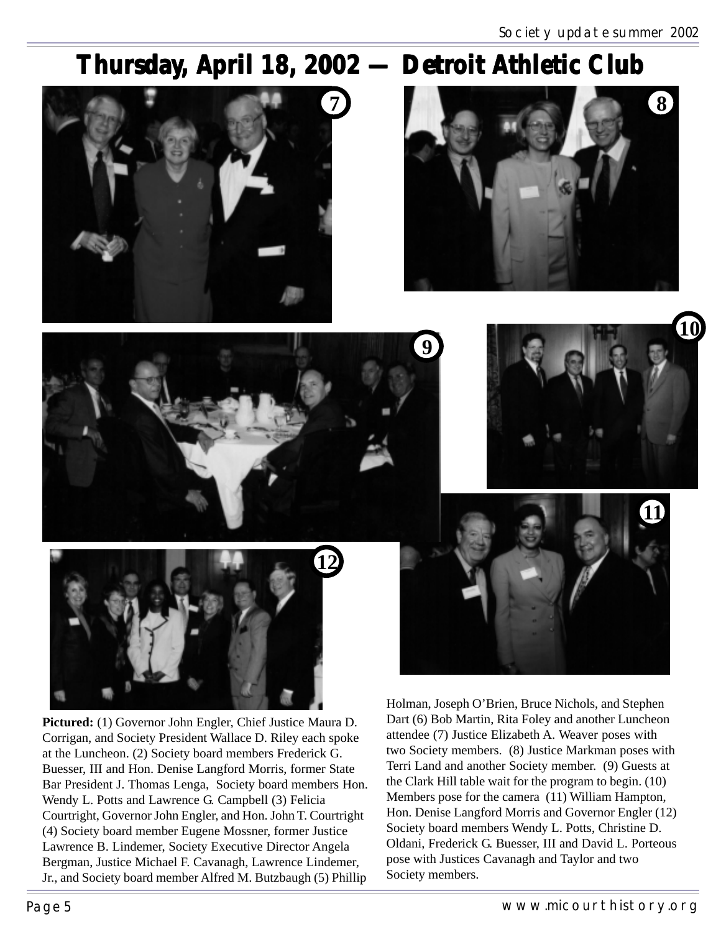**10**

# Thursday, April 18, 2002 — Detroit Athletic Club

**9**







**Pictured:** (1) Governor John Engler, Chief Justice Maura D. Corrigan, and Society President Wallace D. Riley each spoke at the Luncheon. (2) Society board members Frederick G. Buesser, III and Hon. Denise Langford Morris, former State Bar President J. Thomas Lenga, Society board members Hon. Wendy L. Potts and Lawrence G. Campbell (3) Felicia Courtright, Governor John Engler, and Hon. John T. Courtright (4) Society board member Eugene Mossner, former Justice Lawrence B. Lindemer, Society Executive Director Angela Bergman, Justice Michael F. Cavanagh, Lawrence Lindemer, Jr., and Society board member Alfred M. Butzbaugh (5) Phillip



Holman, Joseph O'Brien, Bruce Nichols, and Stephen Dart (6) Bob Martin, Rita Foley and another Luncheon attendee (7) Justice Elizabeth A. Weaver poses with two Society members. (8) Justice Markman poses with Terri Land and another Society member. (9) Guests at the Clark Hill table wait for the program to begin. (10) Members pose for the camera (11) William Hampton, Hon. Denise Langford Morris and Governor Engler (12) Society board members Wendy L. Potts, Christine D. Oldani, Frederick G. Buesser, III and David L. Porteous pose with Justices Cavanagh and Taylor and two Society members.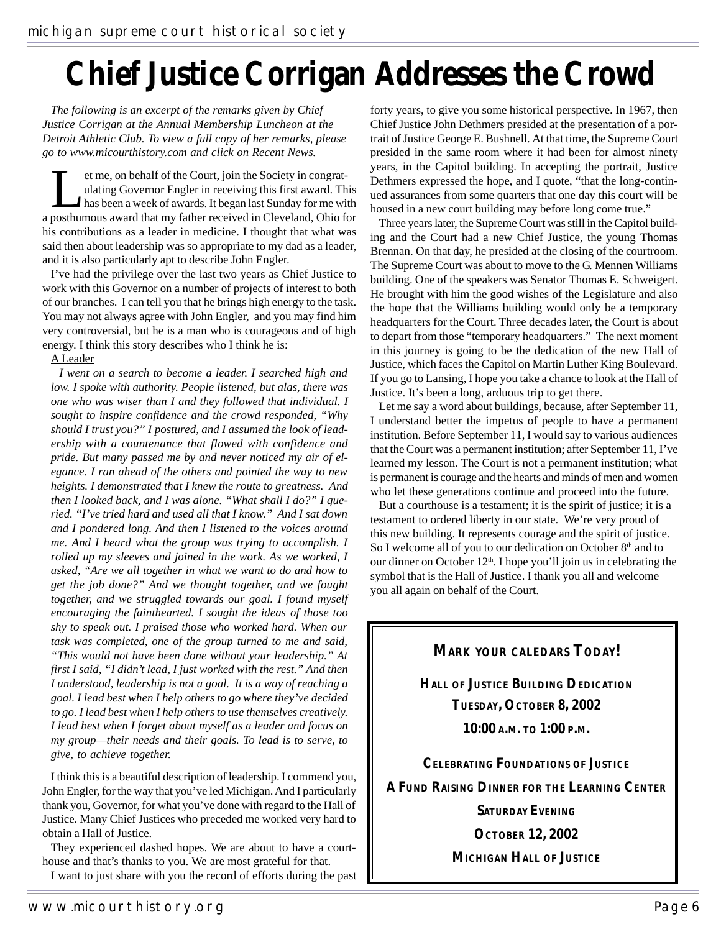# **Chief Justice Corrigan Addresses the Crowd**

*The following is an excerpt of the remarks given by Chief Justice Corrigan at the Annual Membership Luncheon at the Detroit Athletic Club. To view a full copy of her remarks, please go to www.micourthistory.com and click on Recent News.*

et me, on behalf of the Court, join the Society in congratulating Governor Engler in receiving this first award. The has been a week of awards. It began last Sunday for me will not have a ward that my father received in Cl ulating Governor Engler in receiving this first award. This has been a week of awards. It began last Sunday for me with a posthumous award that my father received in Cleveland, Ohio for his contributions as a leader in medicine. I thought that what was said then about leadership was so appropriate to my dad as a leader, and it is also particularly apt to describe John Engler.

I've had the privilege over the last two years as Chief Justice to work with this Governor on a number of projects of interest to both of our branches. I can tell you that he brings high energy to the task. You may not always agree with John Engler, and you may find him very controversial, but he is a man who is courageous and of high energy. I think this story describes who I think he is:

#### A Leader

*I went on a search to become a leader. I searched high and low. I spoke with authority. People listened, but alas, there was one who was wiser than I and they followed that individual. I sought to inspire confidence and the crowd responded, "Why should I trust you?" I postured, and I assumed the look of leadership with a countenance that flowed with confidence and pride. But many passed me by and never noticed my air of elegance. I ran ahead of the others and pointed the way to new heights. I demonstrated that I knew the route to greatness. And then I looked back, and I was alone. "What shall I do?" I queried. "I've tried hard and used all that I know." And I sat down and I pondered long. And then I listened to the voices around me. And I heard what the group was trying to accomplish. I rolled up my sleeves and joined in the work. As we worked, I asked, "Are we all together in what we want to do and how to get the job done?" And we thought together, and we fought together, and we struggled towards our goal. I found myself encouraging the fainthearted. I sought the ideas of those too shy to speak out. I praised those who worked hard. When our task was completed, one of the group turned to me and said, "This would not have been done without your leadership." At first I said, "I didn't lead, I just worked with the rest." And then I understood, leadership is not a goal. It is a way of reaching a goal. I lead best when I help others to go where they've decided to go. I lead best when I help others to use themselves creatively. I lead best when I forget about myself as a leader and focus on my group—their needs and their goals. To lead is to serve, to give, to achieve together.*

I think this is a beautiful description of leadership. I commend you, John Engler, for the way that you've led Michigan. And I particularly thank you, Governor, for what you've done with regard to the Hall of Justice. Many Chief Justices who preceded me worked very hard to obtain a Hall of Justice.

They experienced dashed hopes. We are about to have a courthouse and that's thanks to you. We are most grateful for that.

I want to just share with you the record of efforts during the past

forty years, to give you some historical perspective. In 1967, then Chief Justice John Dethmers presided at the presentation of a portrait of Justice George E. Bushnell. At that time, the Supreme Court presided in the same room where it had been for almost ninety years, in the Capitol building. In accepting the portrait, Justice Dethmers expressed the hope, and I quote, "that the long-continued assurances from some quarters that one day this court will be housed in a new court building may before long come true."

Three years later, the Supreme Court was still in the Capitol building and the Court had a new Chief Justice, the young Thomas Brennan. On that day, he presided at the closing of the courtroom. The Supreme Court was about to move to the G. Mennen Williams building. One of the speakers was Senator Thomas E. Schweigert. He brought with him the good wishes of the Legislature and also the hope that the Williams building would only be a temporary headquarters for the Court. Three decades later, the Court is about to depart from those "temporary headquarters." The next moment in this journey is going to be the dedication of the new Hall of Justice, which faces the Capitol on Martin Luther King Boulevard. If you go to Lansing, I hope you take a chance to look at the Hall of Justice. It's been a long, arduous trip to get there.

Let me say a word about buildings, because, after September 11, I understand better the impetus of people to have a permanent institution. Before September 11, I would say to various audiences that the Court was a permanent institution; after September 11, I've learned my lesson. The Court is not a permanent institution; what is permanent is courage and the hearts and minds of men and women who let these generations continue and proceed into the future.

But a courthouse is a testament; it is the spirit of justice; it is a testament to ordered liberty in our state. We're very proud of this new building. It represents courage and the spirit of justice. So I welcome all of you to our dedication on October 8<sup>th</sup> and to our dinner on October 12<sup>th</sup>. I hope you'll join us in celebrating the symbol that is the Hall of Justice. I thank you all and welcome you all again on behalf of the Court.

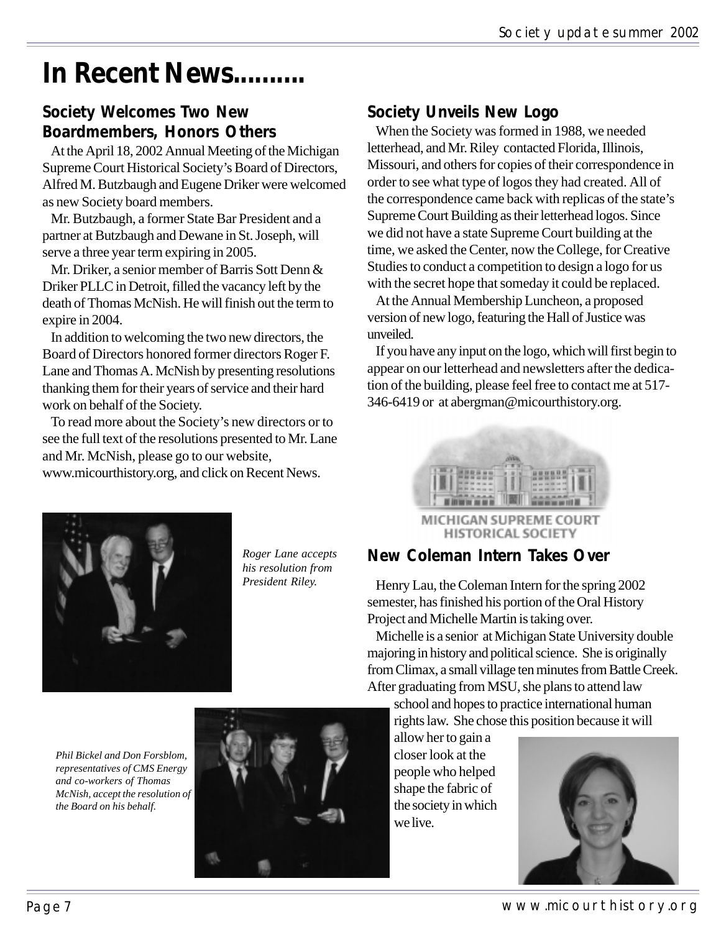# **In Recent News..........**

#### **Society Welcomes Two New Boardmembers, Honors Others**

At the April 18, 2002 Annual Meeting of the Michigan Supreme Court Historical Society's Board of Directors, Alfred M. Butzbaugh and Eugene Driker were welcomed as new Society board members.

Mr. Butzbaugh, a former State Bar President and a partner at Butzbaugh and Dewane in St. Joseph, will serve a three year term expiring in 2005.

Mr. Driker, a senior member of Barris Sott Denn & Driker PLLC in Detroit, filled the vacancy left by the death of Thomas McNish. He will finish out the term to expire in 2004.

In addition to welcoming the two new directors, the Board of Directors honored former directors Roger F. Lane and Thomas A. McNish by presenting resolutions thanking them for their years of service and their hard work on behalf of the Society.

To read more about the Society's new directors or to see the full text of the resolutions presented to Mr. Lane and Mr. McNish, please go to our website,

www.micourthistory.org, and click on Recent News.

#### **Society Unveils New Logo**

When the Society was formed in 1988, we needed letterhead, and Mr. Riley contacted Florida, Illinois, Missouri, and others for copies of their correspondence in order to see what type of logos they had created. All of the correspondence came back with replicas of the state's Supreme Court Building as their letterhead logos. Since we did not have a state Supreme Court building at the time, we asked the Center, now the College, for Creative Studies to conduct a competition to design a logo for us with the secret hope that someday it could be replaced.

At the Annual Membership Luncheon, a proposed version of new logo, featuring the Hall of Justice was unveiled.

If you have any input on the logo, which will first begin to appear on our letterhead and newsletters after the dedication of the building, please feel free to contact me at 517- 346-6419 or at abergman@micourthistory.org.



MICHIGAN SUPREME COURT **HISTORICAL SOCIETY** 



*Roger Lane accepts his resolution from President Riley.*

#### **New Coleman Intern Takes Over**

Henry Lau, the Coleman Intern for the spring 2002 semester, has finished his portion of the Oral History Project and Michelle Martin is taking over.

Michelle is a senior at Michigan State University double majoring in history and political science. She is originally from Climax, a small village ten minutes from Battle Creek. After graduating from MSU, she plans to attend law

school and hopes to practice international human rights law. She chose this position because it will

allow her to gain a closer look at the people who helped shape the fabric of the society in which we live.



Page 7 and 2008 and 2009 and 2012 www.micourthistory.org

*Phil Bickel and Don Forsblom, representatives of CMS Energy and co-workers of Thomas McNish, accept the resolution of the Board on his behalf.*